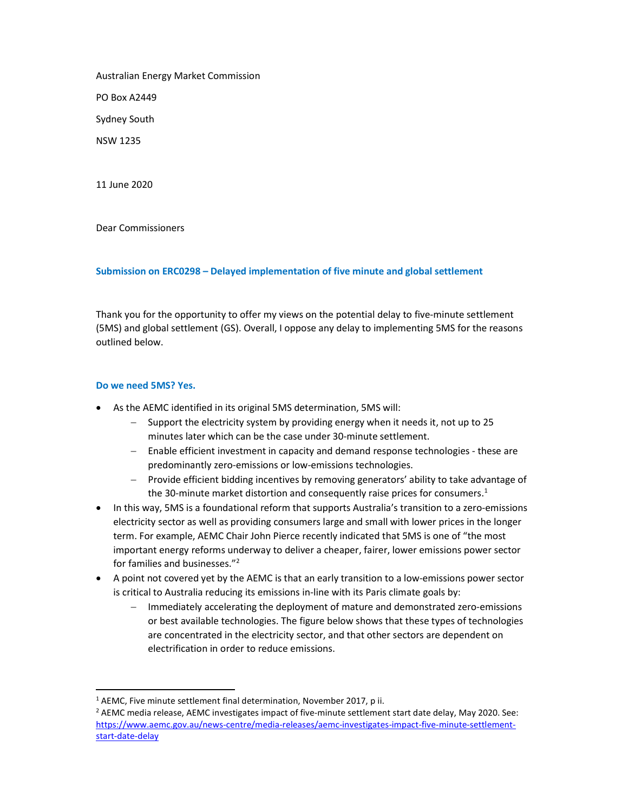Australian Energy Market Commission

PO Box A2449

Sydney South

NSW 1235

11 June 2020

Dear Commissioners

## Submission on ERC0298 – Delayed implementation of five minute and global settlement

Thank you for the opportunity to offer my views on the potential delay to five-minute settlement (5MS) and global settlement (GS). Overall, I oppose any delay to implementing 5MS for the reasons outlined below.

## Do we need 5MS? Yes.

- As the AEMC identified in its original 5MS determination, 5MS will:
	- Support the electricity system by providing energy when it needs it, not up to 25 minutes later which can be the case under 30-minute settlement.
	- Enable efficient investment in capacity and demand response technologies these are predominantly zero-emissions or low-emissions technologies.
	- Provide efficient bidding incentives by removing generators' ability to take advantage of the 30-minute market distortion and consequently raise prices for consumers.<sup>1</sup>
- In this way, 5MS is a foundational reform that supports Australia's transition to a zero-emissions electricity sector as well as providing consumers large and small with lower prices in the longer term. For example, AEMC Chair John Pierce recently indicated that 5MS is one of "the most important energy reforms underway to deliver a cheaper, fairer, lower emissions power sector for families and businesses."<sup>2</sup>
- A point not covered yet by the AEMC is that an early transition to a low-emissions power sector is critical to Australia reducing its emissions in-line with its Paris climate goals by:
	- Immediately accelerating the deployment of mature and demonstrated zero-emissions or best available technologies. The figure below shows that these types of technologies are concentrated in the electricity sector, and that other sectors are dependent on electrification in order to reduce emissions.

 $<sup>1</sup>$  AEMC, Five minute settlement final determination, November 2017, p ii.</sup>

<sup>&</sup>lt;sup>2</sup> AEMC media release, AEMC investigates impact of five-minute settlement start date delay, May 2020. See: https://www.aemc.gov.au/news-centre/media-releases/aemc-investigates-impact-five-minute-settlementstart-date-delay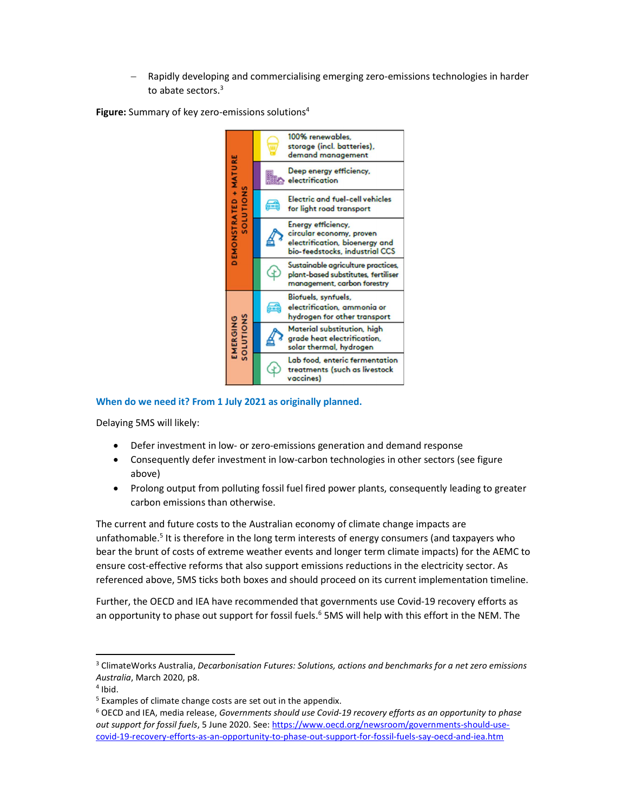Rapidly developing and commercialising emerging zero-emissions technologies in harder to abate sectors.<sup>3</sup>

Figure: Summary of key zero-emissions solutions<sup>4</sup>



When do we need it? From 1 July 2021 as originally planned.

Delaying 5MS will likely:

- Defer investment in low- or zero-emissions generation and demand response
- Consequently defer investment in low-carbon technologies in other sectors (see figure above)
- Prolong output from polluting fossil fuel fired power plants, consequently leading to greater carbon emissions than otherwise.

The current and future costs to the Australian economy of climate change impacts are unfathomable.<sup>5</sup> It is therefore in the long term interests of energy consumers (and taxpayers who bear the brunt of costs of extreme weather events and longer term climate impacts) for the AEMC to ensure cost-effective reforms that also support emissions reductions in the electricity sector. As referenced above, 5MS ticks both boxes and should proceed on its current implementation timeline.

Further, the OECD and IEA have recommended that governments use Covid-19 recovery efforts as an opportunity to phase out support for fossil fuels.<sup>6</sup> 5MS will help with this effort in the NEM. The

<sup>&</sup>lt;sup>3</sup> ClimateWorks Australia, Decarbonisation Futures: Solutions, actions and benchmarks for a net zero emissions Australia, March 2020, p8.

<sup>4</sup> Ibid.

<sup>&</sup>lt;sup>5</sup> Examples of climate change costs are set out in the appendix.

<sup>&</sup>lt;sup>6</sup> OECD and IEA, media release, Governments should use Covid-19 recovery efforts as an opportunity to phase out support for fossil fuels, 5 June 2020. See: https://www.oecd.org/newsroom/governments-should-usecovid-19-recovery-efforts-as-an-opportunity-to-phase-out-support-for-fossil-fuels-say-oecd-and-iea.htm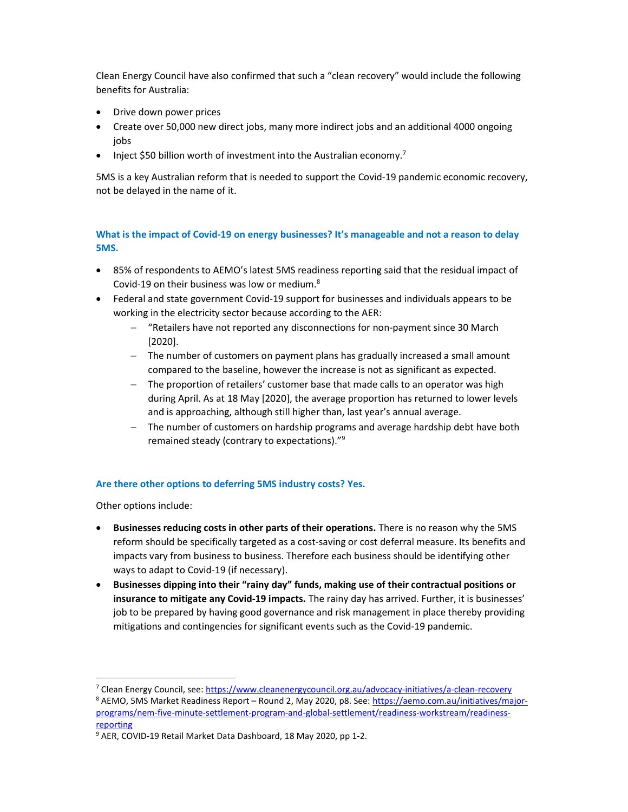Clean Energy Council have also confirmed that such a "clean recovery" would include the following benefits for Australia:

- Drive down power prices
- Create over 50,000 new direct jobs, many more indirect jobs and an additional 4000 ongoing jobs
- Inject \$50 billion worth of investment into the Australian economy.<sup>7</sup>

5MS is a key Australian reform that is needed to support the Covid-19 pandemic economic recovery, not be delayed in the name of it.

# What is the impact of Covid-19 on energy businesses? It's manageable and not a reason to delay 5MS.

- 85% of respondents to AEMO's latest 5MS readiness reporting said that the residual impact of Covid-19 on their business was low or medium.<sup>8</sup>
- Federal and state government Covid-19 support for businesses and individuals appears to be working in the electricity sector because according to the AER:
	- "Retailers have not reported any disconnections for non-payment since 30 March [2020].
	- The number of customers on payment plans has gradually increased a small amount compared to the baseline, however the increase is not as significant as expected.
	- The proportion of retailers' customer base that made calls to an operator was high during April. As at 18 May [2020], the average proportion has returned to lower levels and is approaching, although still higher than, last year's annual average.
	- The number of customers on hardship programs and average hardship debt have both remained steady (contrary to expectations)."<sup>9</sup>

## Are there other options to deferring 5MS industry costs? Yes.

Other options include:

- Businesses reducing costs in other parts of their operations. There is no reason why the 5MS reform should be specifically targeted as a cost-saving or cost deferral measure. Its benefits and impacts vary from business to business. Therefore each business should be identifying other ways to adapt to Covid-19 (if necessary).
- Businesses dipping into their "rainy day" funds, making use of their contractual positions or insurance to mitigate any Covid-19 impacts. The rainy day has arrived. Further, it is businesses' job to be prepared by having good governance and risk management in place thereby providing mitigations and contingencies for significant events such as the Covid-19 pandemic.

<sup>&</sup>lt;sup>7</sup> Clean Energy Council, see: https://www.cleanenergycouncil.org.au/advocacy-initiatives/a-clean-recovery

<sup>&</sup>lt;sup>8</sup> AEMO, 5MS Market Readiness Report – Round 2, May 2020, p8. See: https://aemo.com.au/initiatives/majorprograms/nem-five-minute-settlement-program-and-global-settlement/readiness-workstream/readinessreporting

<sup>&</sup>lt;sup>9</sup> AER, COVID-19 Retail Market Data Dashboard, 18 May 2020, pp 1-2.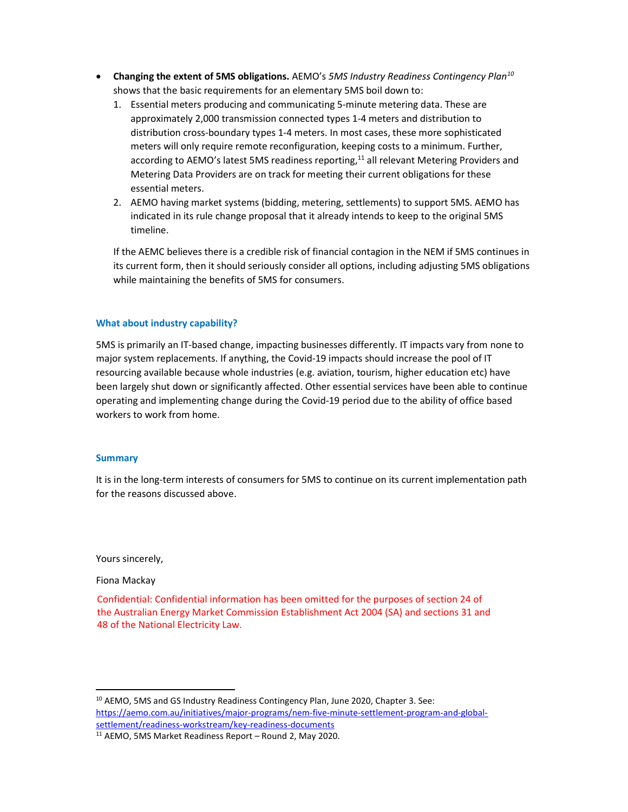- Changing the extent of 5MS obligations. AEMO's 5MS Industry Readiness Contingency Plan<sup>10</sup> shows that the basic requirements for an elementary 5MS boil down to:
	- 1. Essential meters producing and communicating 5-minute metering data. These are approximately 2,000 transmission connected types 1-4 meters and distribution to distribution cross-boundary types 1-4 meters. In most cases, these more sophisticated meters will only require remote reconfiguration, keeping costs to a minimum. Further, according to AEMO's latest 5MS readiness reporting,<sup>11</sup> all relevant Metering Providers and Metering Data Providers are on track for meeting their current obligations for these essential meters.
	- 2. AEMO having market systems (bidding, metering, settlements) to support 5MS. AEMO has indicated in its rule change proposal that it already intends to keep to the original 5MS timeline.

If the AEMC believes there is a credible risk of financial contagion in the NEM if 5MS continues in its current form, then it should seriously consider all options, including adjusting 5MS obligations while maintaining the benefits of 5MS for consumers.

### What about industry capability?

5MS is primarily an IT-based change, impacting businesses differently. IT impacts vary from none to major system replacements. If anything, the Covid-19 impacts should increase the pool of IT resourcing available because whole industries (e.g. aviation, tourism, higher education etc) have been largely shut down or significantly affected. Other essential services have been able to continue operating and implementing change during the Covid-19 period due to the ability of office based workers to work from home.

### **Summary**

It is in the long-term interests of consumers for 5MS to continue on its current implementation path for the reasons discussed above.

Yours sincerely,

Fiona Mackay

Confidential: Confidential information has been omitted for the purposes of section 24 of the Australian Energy Market Commission Establishment Act 2004 (SA) and sections 31 and 48 of the National Electricity Law.

<sup>&</sup>lt;sup>10</sup> AEMO, 5MS and GS Industry Readiness Contingency Plan, June 2020, Chapter 3, See: https://aemo.com.au/initiatives/major-programs/nem-five-minute-settlement-program-and-globalsettlement/readiness-workstream/key-readiness-documents

<sup>11</sup> AEMO, 5MS Market Readiness Report – Round 2, May 2020.